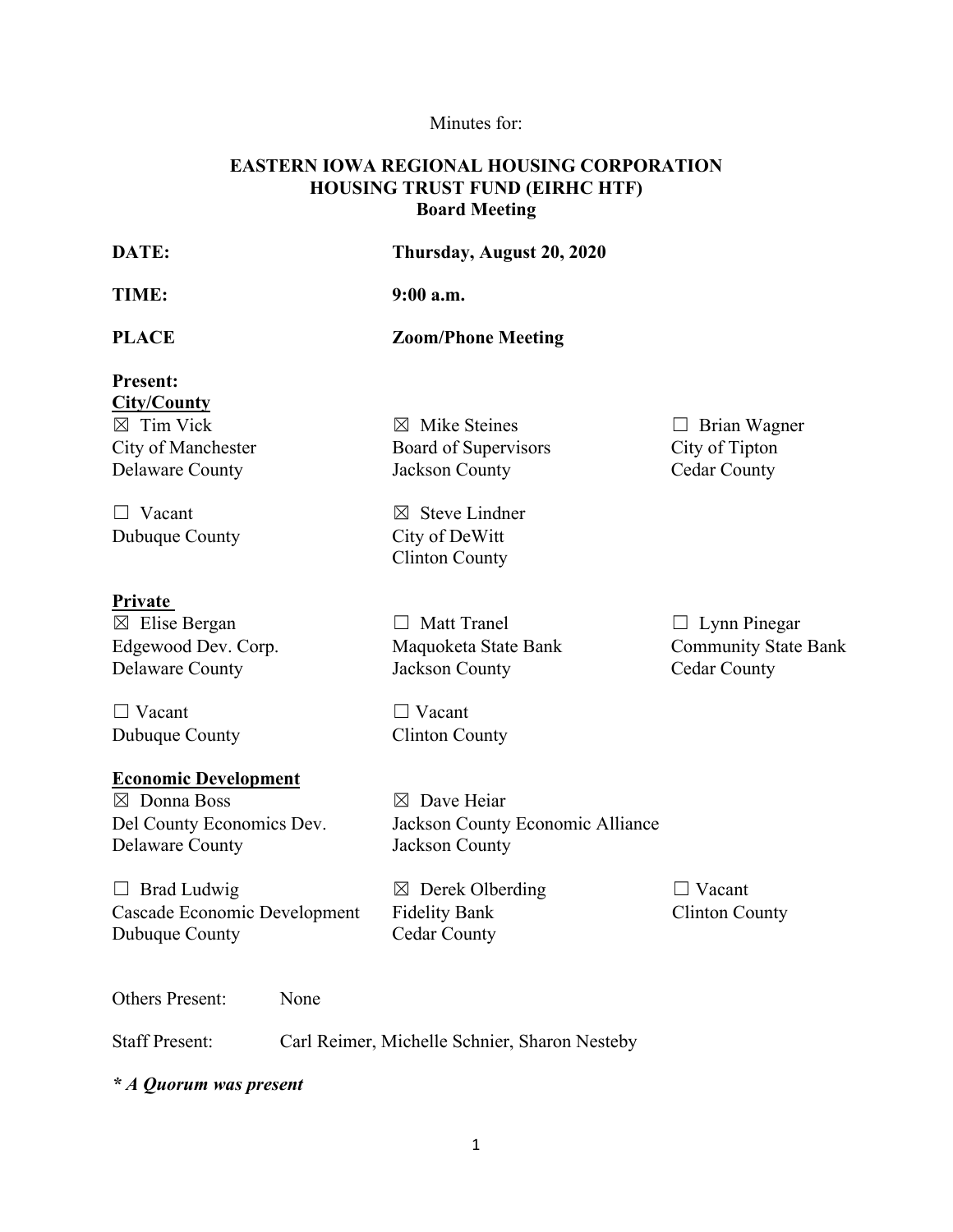# Minutes for:

## **EASTERN IOWA REGIONAL HOUSING CORPORATION HOUSING TRUST FUND (EIRHC HTF) Board Meeting**

| DATE:                                                                                                                                                                         | Thursday, August 20, 2020                                                                                                                                  |                                                                           |
|-------------------------------------------------------------------------------------------------------------------------------------------------------------------------------|------------------------------------------------------------------------------------------------------------------------------------------------------------|---------------------------------------------------------------------------|
| TIME:                                                                                                                                                                         | $9:00$ a.m.                                                                                                                                                |                                                                           |
| <b>PLACE</b>                                                                                                                                                                  | <b>Zoom/Phone Meeting</b>                                                                                                                                  |                                                                           |
| <b>Present:</b><br><b>City/County</b><br>$\boxtimes$ Tim Vick<br>City of Manchester<br>Delaware County                                                                        | $\boxtimes$ Mike Steines<br>Board of Supervisors<br>Jackson County                                                                                         | $\Box$ Brian Wagner<br>City of Tipton<br><b>Cedar County</b>              |
| $\Box$ Vacant<br>Dubuque County                                                                                                                                               | $\boxtimes$ Steve Lindner<br>City of DeWitt<br><b>Clinton County</b>                                                                                       |                                                                           |
| Private<br>$\boxtimes$ Elise Bergan<br>Edgewood Dev. Corp.<br><b>Delaware County</b>                                                                                          | <b>Matt Tranel</b><br>$\Box$<br>Maquoketa State Bank<br>Jackson County                                                                                     | $\Box$ Lynn Pinegar<br><b>Community State Bank</b><br><b>Cedar County</b> |
| $\Box$ Vacant<br>Dubuque County                                                                                                                                               | $\Box$ Vacant<br><b>Clinton County</b>                                                                                                                     |                                                                           |
| <b>Economic Development</b><br>$\boxtimes$ Donna Boss<br>Del County Economics Dev.<br>Delaware County<br>$\Box$ Brad Ludwig<br>Cascade Economic Development<br>Dubuque County | $\boxtimes$ Dave Heiar<br>Jackson County Economic Alliance<br>Jackson County<br>$\boxtimes$ Derek Olberding<br><b>Fidelity Bank</b><br><b>Cedar County</b> | $\Box$ Vacant<br><b>Clinton County</b>                                    |
|                                                                                                                                                                               |                                                                                                                                                            |                                                                           |

Others Present: None

Staff Present: Carl Reimer, Michelle Schnier, Sharon Nesteby

*\* A Quorum was present*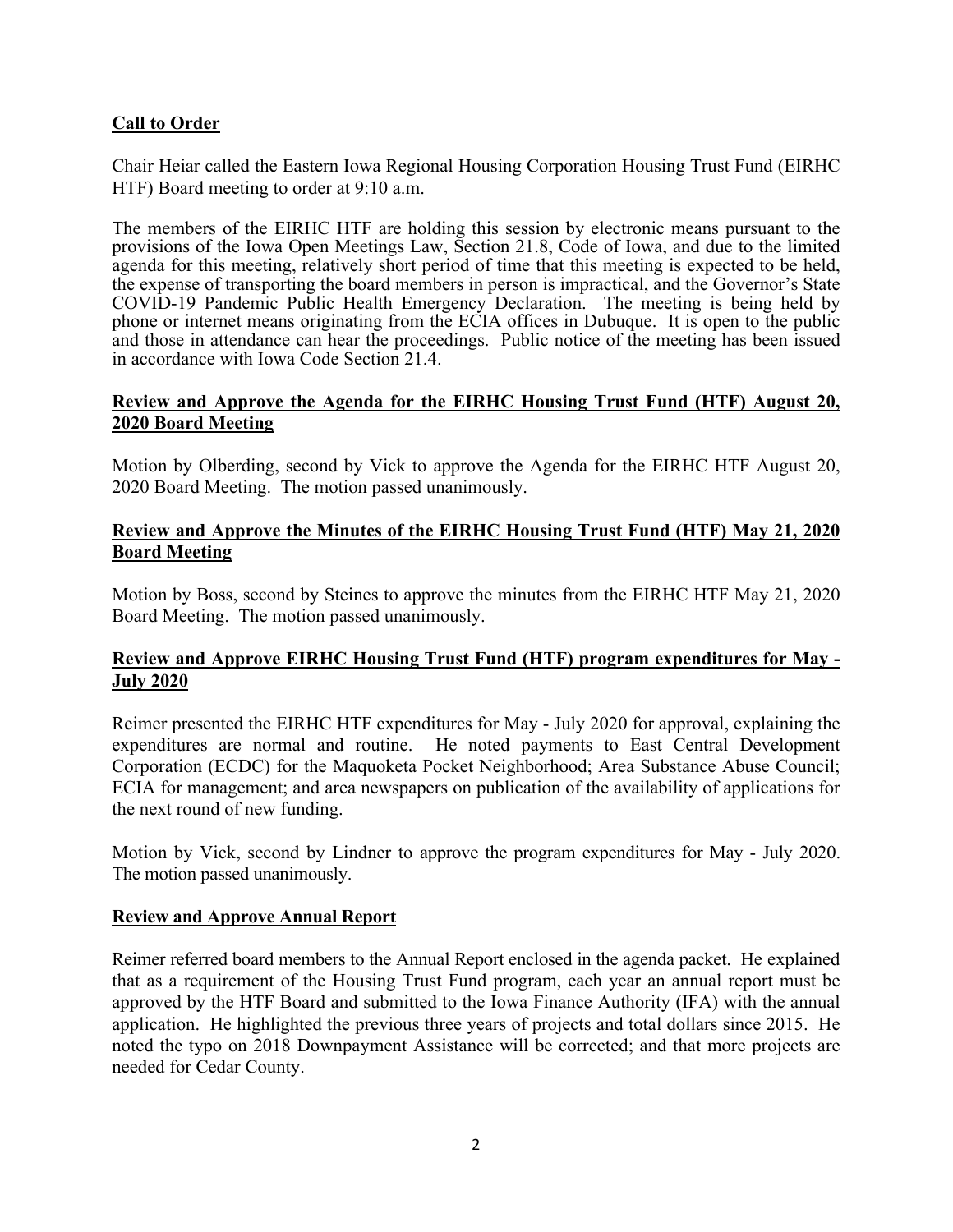## **Call to Order**

Chair Heiar called the Eastern Iowa Regional Housing Corporation Housing Trust Fund (EIRHC HTF) Board meeting to order at 9:10 a.m.

The members of the EIRHC HTF are holding this session by electronic means pursuant to the provisions of the Iowa Open Meetings Law, Section 21.8, Code of Iowa, and due to the limited agenda for this meeting, relatively short period of time that this meeting is expected to be held, the expense of transporting the board members in person is impractical, and the Governor's State COVID-19 Pandemic Public Health Emergency Declaration. The meeting is being held by phone or internet means originating from the ECIA offices in Dubuque. It is open to the public and those in attendance can hear the proceedings. Public notice of the meeting has been issued in accordance with Iowa Code Section 21.4.

#### **Review and Approve the Agenda for the EIRHC Housing Trust Fund (HTF) August 20, 2020 Board Meeting**

Motion by Olberding, second by Vick to approve the Agenda for the EIRHC HTF August 20, 2020 Board Meeting. The motion passed unanimously.

#### **Review and Approve the Minutes of the EIRHC Housing Trust Fund (HTF) May 21, 2020 Board Meeting**

Motion by Boss, second by Steines to approve the minutes from the EIRHC HTF May 21, 2020 Board Meeting. The motion passed unanimously.

### **Review and Approve EIRHC Housing Trust Fund (HTF) program expenditures for May - July 2020**

Reimer presented the EIRHC HTF expenditures for May - July 2020 for approval, explaining the expenditures are normal and routine. He noted payments to East Central Development Corporation (ECDC) for the Maquoketa Pocket Neighborhood; Area Substance Abuse Council; ECIA for management; and area newspapers on publication of the availability of applications for the next round of new funding.

Motion by Vick, second by Lindner to approve the program expenditures for May - July 2020. The motion passed unanimously.

#### **Review and Approve Annual Report**

Reimer referred board members to the Annual Report enclosed in the agenda packet. He explained that as a requirement of the Housing Trust Fund program, each year an annual report must be approved by the HTF Board and submitted to the Iowa Finance Authority (IFA) with the annual application. He highlighted the previous three years of projects and total dollars since 2015. He noted the typo on 2018 Downpayment Assistance will be corrected; and that more projects are needed for Cedar County.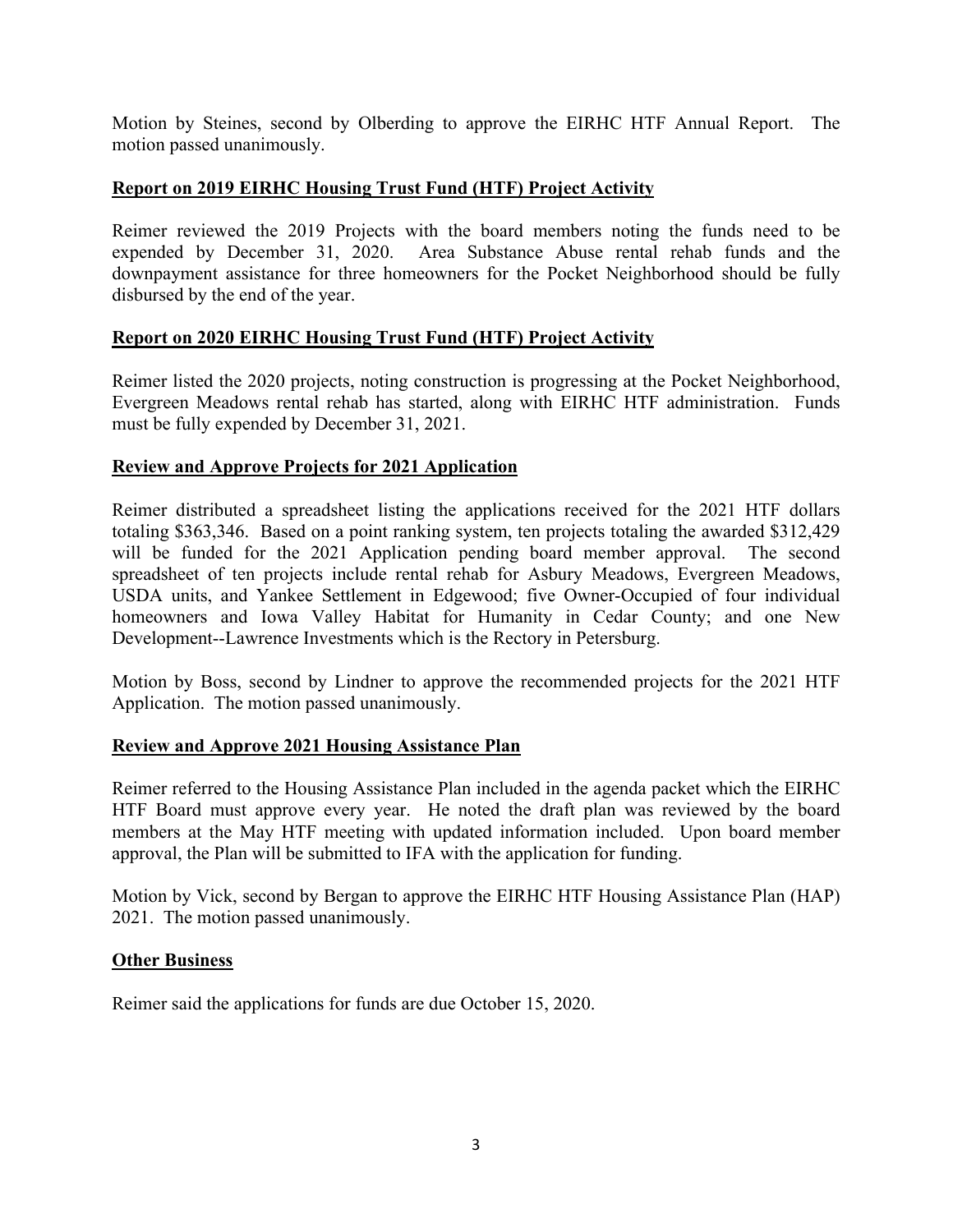Motion by Steines, second by Olberding to approve the EIRHC HTF Annual Report. The motion passed unanimously.

### **Report on 2019 EIRHC Housing Trust Fund (HTF) Project Activity**

Reimer reviewed the 2019 Projects with the board members noting the funds need to be expended by December 31, 2020. Area Substance Abuse rental rehab funds and the downpayment assistance for three homeowners for the Pocket Neighborhood should be fully disbursed by the end of the year.

#### **Report on 2020 EIRHC Housing Trust Fund (HTF) Project Activity**

Reimer listed the 2020 projects, noting construction is progressing at the Pocket Neighborhood, Evergreen Meadows rental rehab has started, along with EIRHC HTF administration. Funds must be fully expended by December 31, 2021.

#### **Review and Approve Projects for 2021 Application**

Reimer distributed a spreadsheet listing the applications received for the 2021 HTF dollars totaling \$363,346. Based on a point ranking system, ten projects totaling the awarded \$312,429 will be funded for the 2021 Application pending board member approval. The second spreadsheet of ten projects include rental rehab for Asbury Meadows, Evergreen Meadows, USDA units, and Yankee Settlement in Edgewood; five Owner-Occupied of four individual homeowners and Iowa Valley Habitat for Humanity in Cedar County; and one New Development--Lawrence Investments which is the Rectory in Petersburg.

Motion by Boss, second by Lindner to approve the recommended projects for the 2021 HTF Application. The motion passed unanimously.

#### **Review and Approve 2021 Housing Assistance Plan**

Reimer referred to the Housing Assistance Plan included in the agenda packet which the EIRHC HTF Board must approve every year. He noted the draft plan was reviewed by the board members at the May HTF meeting with updated information included. Upon board member approval, the Plan will be submitted to IFA with the application for funding.

Motion by Vick, second by Bergan to approve the EIRHC HTF Housing Assistance Plan (HAP) 2021. The motion passed unanimously.

#### **Other Business**

Reimer said the applications for funds are due October 15, 2020.